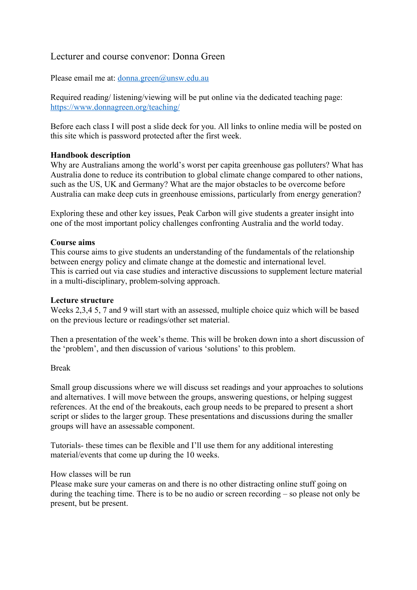# Lecturer and course convenor: Donna Green

Please email me at: donna.green@unsw.edu.au

Required reading/ listening/viewing will be put online via the dedicated teaching page: https://www.donnagreen.org/teaching/

Before each class I will post a slide deck for you. All links to online media will be posted on this site which is password protected after the first week.

## **Handbook description**

Why are Australians among the world's worst per capita greenhouse gas polluters? What has Australia done to reduce its contribution to global climate change compared to other nations, such as the US, UK and Germany? What are the major obstacles to be overcome before Australia can make deep cuts in greenhouse emissions, particularly from energy generation?

Exploring these and other key issues, Peak Carbon will give students a greater insight into one of the most important policy challenges confronting Australia and the world today.

### **Course aims**

This course aims to give students an understanding of the fundamentals of the relationship between energy policy and climate change at the domestic and international level. This is carried out via case studies and interactive discussions to supplement lecture material in a multi-disciplinary, problem-solving approach.

### **Lecture structure**

Weeks 2,3,4 5, 7 and 9 will start with an assessed, multiple choice quiz which will be based on the previous lecture or readings/other set material.

Then a presentation of the week's theme. This will be broken down into a short discussion of the 'problem', and then discussion of various 'solutions' to this problem.

### Break

Small group discussions where we will discuss set readings and your approaches to solutions and alternatives. I will move between the groups, answering questions, or helping suggest references. At the end of the breakouts, each group needs to be prepared to present a short script or slides to the larger group. These presentations and discussions during the smaller groups will have an assessable component.

Tutorials- these times can be flexible and I'll use them for any additional interesting material/events that come up during the 10 weeks.

#### How classes will be run

Please make sure your cameras on and there is no other distracting online stuff going on during the teaching time. There is to be no audio or screen recording – so please not only be present, but be present.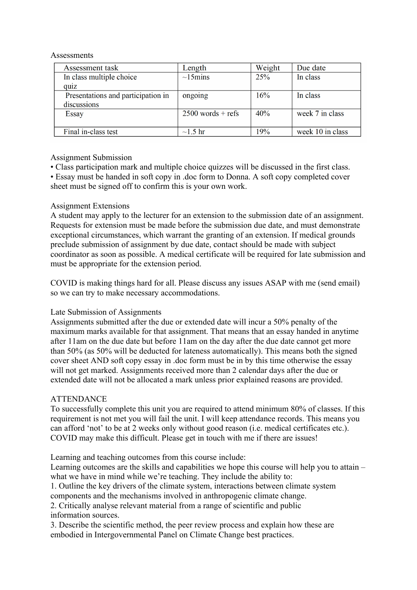#### **Assessments**

| Assessment task                    | Length              | Weight | Due date         |
|------------------------------------|---------------------|--------|------------------|
| In class multiple choice           | $\sim$ 15 mins      | 25%    | In class         |
| quiz                               |                     |        |                  |
| Presentations and participation in | ongoing             | 16%    | In class         |
| discussions                        |                     |        |                  |
| Essay                              | $2500$ words + refs | 40%    | week 7 in class  |
|                                    |                     |        |                  |
| Final in-class test                | $\sim$ 1.5 hr       | 19%    | week 10 in class |

# Assignment Submission

• Class participation mark and multiple choice quizzes will be discussed in the first class. • Essay must be handed in soft copy in .doc form to Donna. A soft copy completed cover sheet must be signed off to confirm this is your own work.

## Assignment Extensions

A student may apply to the lecturer for an extension to the submission date of an assignment. Requests for extension must be made before the submission due date, and must demonstrate exceptional circumstances, which warrant the granting of an extension. If medical grounds preclude submission of assignment by due date, contact should be made with subject coordinator as soon as possible. A medical certificate will be required for late submission and must be appropriate for the extension period.

COVID is making things hard for all. Please discuss any issues ASAP with me (send email) so we can try to make necessary accommodations.

### Late Submission of Assignments

Assignments submitted after the due or extended date will incur a 50% penalty of the maximum marks available for that assignment. That means that an essay handed in anytime after 11am on the due date but before 11am on the day after the due date cannot get more than 50% (as 50% will be deducted for lateness automatically). This means both the signed cover sheet AND soft copy essay in .doc form must be in by this time otherwise the essay will not get marked. Assignments received more than 2 calendar days after the due or extended date will not be allocated a mark unless prior explained reasons are provided.

# ATTENDANCE

To successfully complete this unit you are required to attend minimum 80% of classes. If this requirement is not met you will fail the unit. I will keep attendance records. This means you can afford 'not' to be at 2 weeks only without good reason (i.e. medical certificates etc.). COVID may make this difficult. Please get in touch with me if there are issues!

Learning and teaching outcomes from this course include:

Learning outcomes are the skills and capabilities we hope this course will help you to attain – what we have in mind while we're teaching. They include the ability to:

1. Outline the key drivers of the climate system, interactions between climate system components and the mechanisms involved in anthropogenic climate change.

2. Critically analyse relevant material from a range of scientific and public information sources.

3. Describe the scientific method, the peer review process and explain how these are embodied in Intergovernmental Panel on Climate Change best practices.